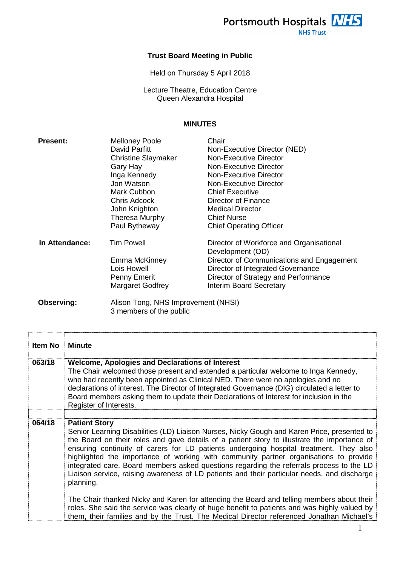Portsmouth Hospitals NHS **NHS Trust** 

## **Trust Board Meeting in Public**

Held on Thursday 5 April 2018

Lecture Theatre, Education Centre Queen Alexandra Hospital

## **MINUTES**

| <b>Present:</b> | <b>Melloney Poole</b>               | Chair                                                        |
|-----------------|-------------------------------------|--------------------------------------------------------------|
|                 | David Parfitt                       | Non-Executive Director (NED)                                 |
|                 | <b>Christine Slaymaker</b>          | Non-Executive Director                                       |
|                 | Gary Hay                            | <b>Non-Executive Director</b>                                |
|                 | Inga Kennedy                        | Non-Executive Director                                       |
|                 | Jon Watson                          | Non-Executive Director                                       |
|                 | Mark Cubbon                         | <b>Chief Executive</b>                                       |
|                 | <b>Chris Adcock</b>                 | Director of Finance                                          |
|                 | John Knighton                       | <b>Medical Director</b>                                      |
|                 | Theresa Murphy                      | <b>Chief Nurse</b>                                           |
|                 | Paul Bytheway                       | <b>Chief Operating Officer</b>                               |
| In Attendance:  | <b>Tim Powell</b>                   | Director of Workforce and Organisational<br>Development (OD) |
|                 | Emma McKinney                       | Director of Communications and Engagement                    |
|                 | Lois Howell                         | Director of Integrated Governance                            |
|                 | Penny Emerit                        | Director of Strategy and Performance                         |
|                 | Margaret Godfrey                    | <b>Interim Board Secretary</b>                               |
| Observing:      | Alison Tong, NHS Improvement (NHSI) |                                                              |
|                 | 3 members of the public             |                                                              |

| Item No | <b>Minute</b>                                                                                                                                                                                                                                                                                                                                                                                                                                                                                                                                                                                                  |
|---------|----------------------------------------------------------------------------------------------------------------------------------------------------------------------------------------------------------------------------------------------------------------------------------------------------------------------------------------------------------------------------------------------------------------------------------------------------------------------------------------------------------------------------------------------------------------------------------------------------------------|
| 063/18  | <b>Welcome, Apologies and Declarations of Interest</b><br>The Chair welcomed those present and extended a particular welcome to Inga Kennedy,<br>who had recently been appointed as Clinical NED. There were no apologies and no<br>declarations of interest. The Director of Integrated Governance (DIG) circulated a letter to<br>Board members asking them to update their Declarations of Interest for inclusion in the<br>Register of Interests.                                                                                                                                                          |
| 064/18  | <b>Patient Story</b><br>Senior Learning Disabilities (LD) Liaison Nurses, Nicky Gough and Karen Price, presented to<br>the Board on their roles and gave details of a patient story to illustrate the importance of<br>ensuring continuity of carers for LD patients undergoing hospital treatment. They also<br>highlighted the importance of working with community partner organisations to provide<br>integrated care. Board members asked questions regarding the referrals process to the LD<br>Liaison service, raising awareness of LD patients and their particular needs, and discharge<br>planning. |
|         | The Chair thanked Nicky and Karen for attending the Board and telling members about their<br>roles. She said the service was clearly of huge benefit to patients and was highly valued by<br>them, their families and by the Trust. The Medical Director referenced Jonathan Michael's                                                                                                                                                                                                                                                                                                                         |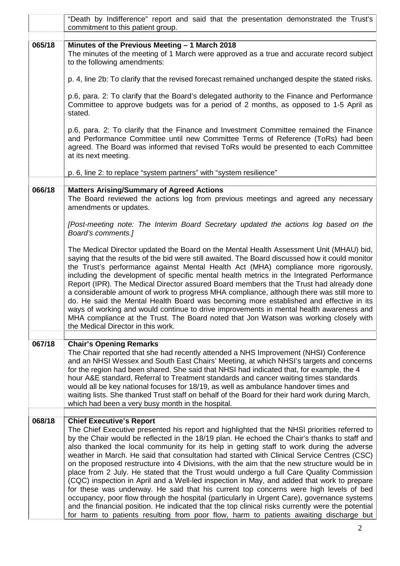|        | "Death by Indifference" report and said that the presentation demonstrated the Trust's<br>commitment to this patient group.                                                                                                                                                                                                                                                                                                                                                                                                                                                                                                                                                                                                                                                                                                                                                                                                                                                                                                                                                                                    |
|--------|----------------------------------------------------------------------------------------------------------------------------------------------------------------------------------------------------------------------------------------------------------------------------------------------------------------------------------------------------------------------------------------------------------------------------------------------------------------------------------------------------------------------------------------------------------------------------------------------------------------------------------------------------------------------------------------------------------------------------------------------------------------------------------------------------------------------------------------------------------------------------------------------------------------------------------------------------------------------------------------------------------------------------------------------------------------------------------------------------------------|
| 065/18 | Minutes of the Previous Meeting - 1 March 2018<br>The minutes of the meeting of 1 March were approved as a true and accurate record subject<br>to the following amendments:                                                                                                                                                                                                                                                                                                                                                                                                                                                                                                                                                                                                                                                                                                                                                                                                                                                                                                                                    |
|        | p. 4, line 2b: To clarify that the revised forecast remained unchanged despite the stated risks.                                                                                                                                                                                                                                                                                                                                                                                                                                                                                                                                                                                                                                                                                                                                                                                                                                                                                                                                                                                                               |
|        | p.6, para. 2: To clarify that the Board's delegated authority to the Finance and Performance<br>Committee to approve budgets was for a period of 2 months, as opposed to 1-5 April as<br>stated.                                                                                                                                                                                                                                                                                                                                                                                                                                                                                                                                                                                                                                                                                                                                                                                                                                                                                                               |
|        | p.6, para. 2: To clarify that the Finance and Investment Committee remained the Finance<br>and Performance Committee until new Committee Terms of Reference (ToRs) had been<br>agreed. The Board was informed that revised ToRs would be presented to each Committee<br>at its next meeting.                                                                                                                                                                                                                                                                                                                                                                                                                                                                                                                                                                                                                                                                                                                                                                                                                   |
|        | p. 6, line 2: to replace "system partners" with "system resilience"                                                                                                                                                                                                                                                                                                                                                                                                                                                                                                                                                                                                                                                                                                                                                                                                                                                                                                                                                                                                                                            |
| 066/18 | <b>Matters Arising/Summary of Agreed Actions</b><br>The Board reviewed the actions log from previous meetings and agreed any necessary<br>amendments or updates.                                                                                                                                                                                                                                                                                                                                                                                                                                                                                                                                                                                                                                                                                                                                                                                                                                                                                                                                               |
|        | [Post-meeting note: The Interim Board Secretary updated the actions log based on the<br>Board's comments.]                                                                                                                                                                                                                                                                                                                                                                                                                                                                                                                                                                                                                                                                                                                                                                                                                                                                                                                                                                                                     |
|        | The Medical Director updated the Board on the Mental Health Assessment Unit (MHAU) bid,<br>saying that the results of the bid were still awaited. The Board discussed how it could monitor<br>the Trust's performance against Mental Health Act (MHA) compliance more rigorously,<br>including the development of specific mental health metrics in the Integrated Performance<br>Report (IPR). The Medical Director assured Board members that the Trust had already done<br>a considerable amount of work to progress MHA compliance, although there was still more to<br>do. He said the Mental Health Board was becoming more established and effective in its<br>ways of working and would continue to drive improvements in mental health awareness and<br>MHA compliance at the Trust. The Board noted that Jon Watson was working closely with<br>the Medical Director in this work.                                                                                                                                                                                                                   |
| 067/18 | <b>Chair's Opening Remarks</b><br>The Chair reported that she had recently attended a NHS Improvement (NHSI) Conference<br>and an NHSI Wessex and South East Chairs' Meeting, at which NHSI's targets and concerns<br>for the region had been shared. She said that NHSI had indicated that, for example, the 4<br>hour A&E standard, Referral to Treatment standards and cancer waiting times standards<br>would all be key national focuses for 18/19, as well as ambulance handover times and<br>waiting lists. She thanked Trust staff on behalf of the Board for their hard work during March,<br>which had been a very busy month in the hospital.                                                                                                                                                                                                                                                                                                                                                                                                                                                       |
| 068/18 | <b>Chief Executive's Report</b><br>The Chief Executive presented his report and highlighted that the NHSI priorities referred to<br>by the Chair would be reflected in the 18/19 plan. He echoed the Chair's thanks to staff and<br>also thanked the local community for its help in getting staff to work during the adverse<br>weather in March. He said that consultation had started with Clinical Service Centres (CSC)<br>on the proposed restructure into 4 Divisions, with the aim that the new structure would be in<br>place from 2 July. He stated that the Trust would undergo a full Care Quality Commission<br>(CQC) inspection in April and a Well-led inspection in May, and added that work to prepare<br>for these was underway. He said that his current top concerns were high levels of bed<br>occupancy, poor flow through the hospital (particularly in Urgent Care), governance systems<br>and the financial position. He indicated that the top clinical risks currently were the potential<br>for harm to patients resulting from poor flow, harm to patients awaiting discharge but |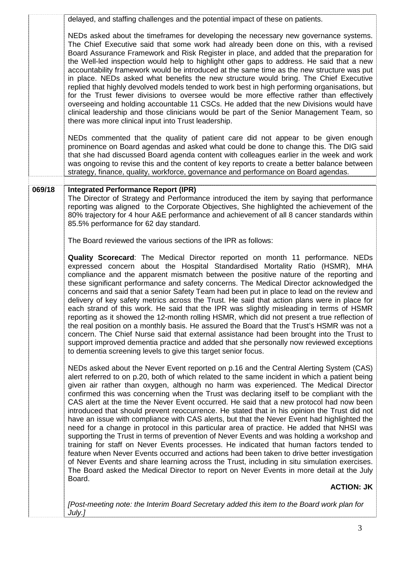|        | delayed, and staffing challenges and the potential impact of these on patients.                                                                                                                                                                                                                                                                                                                                                                                                                                                                                                                                                                                                                                                                                                                                                                                                                                                                                                                                                                                                                                                                                                                                                                                        |
|--------|------------------------------------------------------------------------------------------------------------------------------------------------------------------------------------------------------------------------------------------------------------------------------------------------------------------------------------------------------------------------------------------------------------------------------------------------------------------------------------------------------------------------------------------------------------------------------------------------------------------------------------------------------------------------------------------------------------------------------------------------------------------------------------------------------------------------------------------------------------------------------------------------------------------------------------------------------------------------------------------------------------------------------------------------------------------------------------------------------------------------------------------------------------------------------------------------------------------------------------------------------------------------|
|        | NEDs asked about the timeframes for developing the necessary new governance systems.<br>The Chief Executive said that some work had already been done on this, with a revised<br>Board Assurance Framework and Risk Register in place, and added that the preparation for<br>the Well-led inspection would help to highlight other gaps to address. He said that a new<br>accountability framework would be introduced at the same time as the new structure was put<br>in place. NEDs asked what benefits the new structure would bring. The Chief Executive<br>replied that highly devolved models tended to work best in high performing organisations, but<br>for the Trust fewer divisions to oversee would be more effective rather than effectively<br>overseeing and holding accountable 11 CSCs. He added that the new Divisions would have<br>clinical leadership and those clinicians would be part of the Senior Management Team, so<br>there was more clinical input into Trust leadership.                                                                                                                                                                                                                                                               |
|        | NEDs commented that the quality of patient care did not appear to be given enough<br>prominence on Board agendas and asked what could be done to change this. The DIG said<br>that she had discussed Board agenda content with colleagues earlier in the week and work<br>was ongoing to revise this and the content of key reports to create a better balance between<br>strategy, finance, quality, workforce, governance and performance on Board agendas.                                                                                                                                                                                                                                                                                                                                                                                                                                                                                                                                                                                                                                                                                                                                                                                                          |
| 069/18 | <b>Integrated Performance Report (IPR)</b><br>The Director of Strategy and Performance introduced the item by saying that performance<br>reporting was aligned to the Corporate Objectives, She highlighted the achievement of the<br>80% trajectory for 4 hour A&E performance and achievement of all 8 cancer standards within<br>85.5% performance for 62 day standard.                                                                                                                                                                                                                                                                                                                                                                                                                                                                                                                                                                                                                                                                                                                                                                                                                                                                                             |
|        | The Board reviewed the various sections of the IPR as follows:                                                                                                                                                                                                                                                                                                                                                                                                                                                                                                                                                                                                                                                                                                                                                                                                                                                                                                                                                                                                                                                                                                                                                                                                         |
|        | <b>Quality Scorecard:</b> The Medical Director reported on month 11 performance. NEDs<br>expressed concern about the Hospital Standardised Mortality Ratio (HSMR), MHA<br>compliance and the apparent mismatch between the positive nature of the reporting and<br>these significant performance and safety concerns. The Medical Director acknowledged the<br>concerns and said that a senior Safety Team had been put in place to lead on the review and<br>delivery of key safety metrics across the Trust. He said that action plans were in place for<br>each strand of this work. He said that the IPR was slightly misleading in terms of HSMR<br>reporting as it showed the 12-month rolling HSMR, which did not present a true reflection of<br>the real position on a monthly basis. He assured the Board that the Trust's HSMR was not a<br>concern. The Chief Nurse said that external assistance had been brought into the Trust to<br>support improved dementia practice and added that she personally now reviewed exceptions<br>to dementia screening levels to give this target senior focus.                                                                                                                                                         |
|        | NEDs asked about the Never Event reported on p.16 and the Central Alerting System (CAS)<br>alert referred to on p.20, both of which related to the same incident in which a patient being<br>given air rather than oxygen, although no harm was experienced. The Medical Director<br>confirmed this was concerning when the Trust was declaring itself to be compliant with the<br>CAS alert at the time the Never Event occurred. He said that a new protocol had now been<br>introduced that should prevent reoccurrence. He stated that in his opinion the Trust did not<br>have an issue with compliance with CAS alerts, but that the Never Event had highlighted the<br>need for a change in protocol in this particular area of practice. He added that NHSI was<br>supporting the Trust in terms of prevention of Never Events and was holding a workshop and<br>training for staff on Never Events processes. He indicated that human factors tended to<br>feature when Never Events occurred and actions had been taken to drive better investigation<br>of Never Events and share learning across the Trust, including in situ simulation exercises.<br>The Board asked the Medical Director to report on Never Events in more detail at the July<br>Board. |
|        | <b>ACTION: JK</b>                                                                                                                                                                                                                                                                                                                                                                                                                                                                                                                                                                                                                                                                                                                                                                                                                                                                                                                                                                                                                                                                                                                                                                                                                                                      |
|        | [Post-meeting note: the Interim Board Secretary added this item to the Board work plan for<br>July.]                                                                                                                                                                                                                                                                                                                                                                                                                                                                                                                                                                                                                                                                                                                                                                                                                                                                                                                                                                                                                                                                                                                                                                   |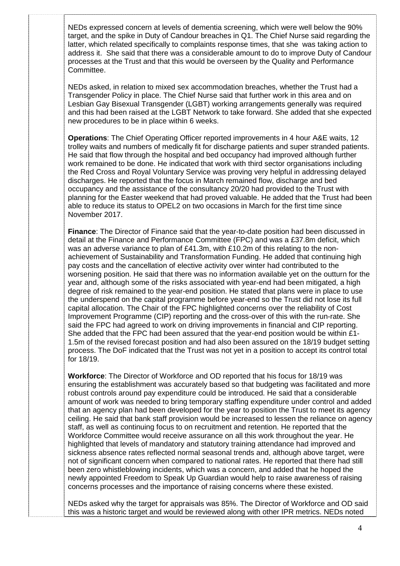NEDs expressed concern at levels of dementia screening, which were well below the 90% target, and the spike in Duty of Candour breaches in Q1. The Chief Nurse said regarding the latter, which related specifically to complaints response times, that she was taking action to address it. She said that there was a considerable amount to do to improve Duty of Candour processes at the Trust and that this would be overseen by the Quality and Performance Committee.

NEDs asked, in relation to mixed sex accommodation breaches, whether the Trust had a Transgender Policy in place. The Chief Nurse said that further work in this area and on Lesbian Gay Bisexual Transgender (LGBT) working arrangements generally was required and this had been raised at the LGBT Network to take forward. She added that she expected new procedures to be in place within 6 weeks.

**Operations**: The Chief Operating Officer reported improvements in 4 hour A&E waits, 12 trolley waits and numbers of medically fit for discharge patients and super stranded patients. He said that flow through the hospital and bed occupancy had improved although further work remained to be done. He indicated that work with third sector organisations including the Red Cross and Royal Voluntary Service was proving very helpful in addressing delayed discharges. He reported that the focus in March remained flow, discharge and bed occupancy and the assistance of the consultancy 20/20 had provided to the Trust with planning for the Easter weekend that had proved valuable. He added that the Trust had been able to reduce its status to OPEL2 on two occasions in March for the first time since November 2017.

**Finance**: The Director of Finance said that the year-to-date position had been discussed in detail at the Finance and Performance Committee (FPC) and was a £37.8m deficit, which was an adverse variance to plan of £41.3m, with £10.2m of this relating to the nonachievement of Sustainability and Transformation Funding. He added that continuing high pay costs and the cancellation of elective activity over winter had contributed to the worsening position. He said that there was no information available yet on the outturn for the year and, although some of the risks associated with year-end had been mitigated, a high degree of risk remained to the year-end position. He stated that plans were in place to use the underspend on the capital programme before year-end so the Trust did not lose its full capital allocation. The Chair of the FPC highlighted concerns over the reliability of Cost Improvement Programme (CIP) reporting and the cross-over of this with the run-rate. She said the FPC had agreed to work on driving improvements in financial and CIP reporting. She added that the FPC had been assured that the year-end position would be within  $£1-$ 1.5m of the revised forecast position and had also been assured on the 18/19 budget setting process. The DoF indicated that the Trust was not yet in a position to accept its control total for 18/19.

**Workforce**: The Director of Workforce and OD reported that his focus for 18/19 was ensuring the establishment was accurately based so that budgeting was facilitated and more robust controls around pay expenditure could be introduced. He said that a considerable amount of work was needed to bring temporary staffing expenditure under control and added that an agency plan had been developed for the year to position the Trust to meet its agency ceiling. He said that bank staff provision would be increased to lessen the reliance on agency staff, as well as continuing focus to on recruitment and retention. He reported that the Workforce Committee would receive assurance on all this work throughout the year. He highlighted that levels of mandatory and statutory training attendance had improved and sickness absence rates reflected normal seasonal trends and, although above target, were not of significant concern when compared to national rates. He reported that there had still been zero whistleblowing incidents, which was a concern, and added that he hoped the newly appointed Freedom to Speak Up Guardian would help to raise awareness of raising concerns processes and the importance of raising concerns where these existed.

NEDs asked why the target for appraisals was 85%. The Director of Workforce and OD said this was a historic target and would be reviewed along with other IPR metrics. NEDs noted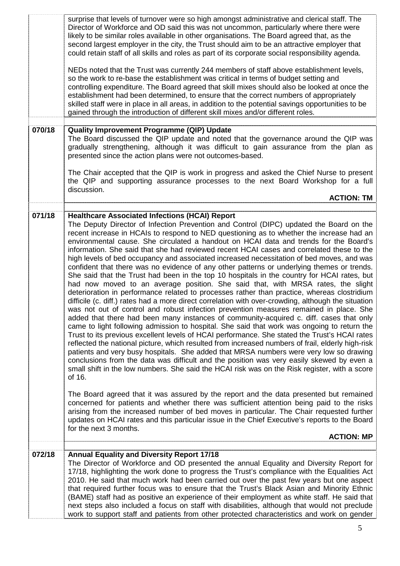|        | surprise that levels of turnover were so high amongst administrative and clerical staff. The<br>Director of Workforce and OD said this was not uncommon, particularly where there were<br>likely to be similar roles available in other organisations. The Board agreed that, as the<br>second largest employer in the city, the Trust should aim to be an attractive employer that<br>could retain staff of all skills and roles as part of its corporate social responsibility agenda.<br>NEDs noted that the Trust was currently 244 members of staff above establishment levels,<br>so the work to re-base the establishment was critical in terms of budget setting and<br>controlling expenditure. The Board agreed that skill mixes should also be looked at once the<br>establishment had been determined, to ensure that the correct numbers of appropriately<br>skilled staff were in place in all areas, in addition to the potential savings opportunities to be<br>gained through the introduction of different skill mixes and/or different roles.                                                                                                                                                                                                                                                                                                                                                                                                                                                                                                                                                                                                                                                                                                                                                   |
|--------|--------------------------------------------------------------------------------------------------------------------------------------------------------------------------------------------------------------------------------------------------------------------------------------------------------------------------------------------------------------------------------------------------------------------------------------------------------------------------------------------------------------------------------------------------------------------------------------------------------------------------------------------------------------------------------------------------------------------------------------------------------------------------------------------------------------------------------------------------------------------------------------------------------------------------------------------------------------------------------------------------------------------------------------------------------------------------------------------------------------------------------------------------------------------------------------------------------------------------------------------------------------------------------------------------------------------------------------------------------------------------------------------------------------------------------------------------------------------------------------------------------------------------------------------------------------------------------------------------------------------------------------------------------------------------------------------------------------------------------------------------------------------------------------------------------------------|
|        |                                                                                                                                                                                                                                                                                                                                                                                                                                                                                                                                                                                                                                                                                                                                                                                                                                                                                                                                                                                                                                                                                                                                                                                                                                                                                                                                                                                                                                                                                                                                                                                                                                                                                                                                                                                                                    |
| 070/18 | <b>Quality Improvement Programme (QIP) Update</b><br>The Board discussed the QIP update and noted that the governance around the QIP was<br>gradually strengthening, although it was difficult to gain assurance from the plan as<br>presented since the action plans were not outcomes-based.                                                                                                                                                                                                                                                                                                                                                                                                                                                                                                                                                                                                                                                                                                                                                                                                                                                                                                                                                                                                                                                                                                                                                                                                                                                                                                                                                                                                                                                                                                                     |
|        | The Chair accepted that the QIP is work in progress and asked the Chief Nurse to present<br>the QIP and supporting assurance processes to the next Board Workshop for a full<br>discussion.                                                                                                                                                                                                                                                                                                                                                                                                                                                                                                                                                                                                                                                                                                                                                                                                                                                                                                                                                                                                                                                                                                                                                                                                                                                                                                                                                                                                                                                                                                                                                                                                                        |
|        | <b>ACTION: TM</b>                                                                                                                                                                                                                                                                                                                                                                                                                                                                                                                                                                                                                                                                                                                                                                                                                                                                                                                                                                                                                                                                                                                                                                                                                                                                                                                                                                                                                                                                                                                                                                                                                                                                                                                                                                                                  |
| 071/18 | <b>Healthcare Associated Infections (HCAI) Report</b><br>The Deputy Director of Infection Prevention and Control (DIPC) updated the Board on the<br>recent increase in HCAIs to respond to NED questioning as to whether the increase had an<br>environmental cause. She circulated a handout on HCAI data and trends for the Board's<br>information. She said that she had reviewed recent HCAI cases and correlated these to the<br>high levels of bed occupancy and associated increased necessitation of bed moves, and was<br>confident that there was no evidence of any other patterns or underlying themes or trends.<br>She said that the Trust had been in the top 10 hospitals in the country for HCAI rates, but<br>had now moved to an average position. She said that, with MRSA rates, the slight<br>deterioration in performance related to processes rather than practice, whereas clostridium<br>difficile (c. diff.) rates had a more direct correlation with over-crowding, although the situation<br>was not out of control and robust infection prevention measures remained in place. She<br>added that there had been many instances of community-acquired c. diff. cases that only<br>came to light following admission to hospital. She said that work was ongoing to return the<br>Trust to its previous excellent levels of HCAI performance. She stated the Trust's HCAI rates<br>reflected the national picture, which resulted from increased numbers of frail, elderly high-risk<br>patients and very busy hospitals. She added that MRSA numbers were very low so drawing<br>conclusions from the data was difficult and the position was very easily skewed by even a<br>small shift in the low numbers. She said the HCAI risk was on the Risk register, with a score<br>of 16. |
|        | The Board agreed that it was assured by the report and the data presented but remained<br>concerned for patients and whether there was sufficient attention being paid to the risks<br>arising from the increased number of bed moves in particular. The Chair requested further<br>updates on HCAI rates and this particular issue in the Chief Executive's reports to the Board<br>for the next 3 months.<br><b>ACTION: MP</b>                                                                                                                                                                                                                                                                                                                                                                                                                                                                                                                                                                                                                                                                                                                                                                                                                                                                                                                                                                                                                                                                                                                                                                                                                                                                                                                                                                                   |
|        |                                                                                                                                                                                                                                                                                                                                                                                                                                                                                                                                                                                                                                                                                                                                                                                                                                                                                                                                                                                                                                                                                                                                                                                                                                                                                                                                                                                                                                                                                                                                                                                                                                                                                                                                                                                                                    |
| 072/18 | <b>Annual Equality and Diversity Report 17/18</b><br>The Director of Workforce and OD presented the annual Equality and Diversity Report for<br>17/18, highlighting the work done to progress the Trust's compliance with the Equalities Act<br>2010. He said that much work had been carried out over the past few years but one aspect<br>that required further focus was to ensure that the Trust's Black Asian and Minority Ethnic<br>(BAME) staff had as positive an experience of their employment as white staff. He said that<br>next steps also included a focus on staff with disabilities, although that would not preclude<br>work to support staff and patients from other protected characteristics and work on gender                                                                                                                                                                                                                                                                                                                                                                                                                                                                                                                                                                                                                                                                                                                                                                                                                                                                                                                                                                                                                                                                               |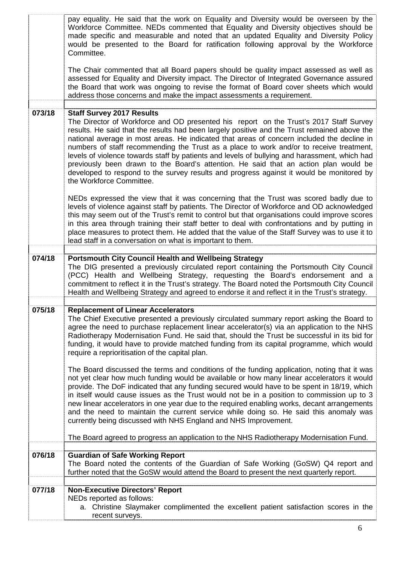|        | pay equality. He said that the work on Equality and Diversity would be overseen by the<br>Workforce Committee. NEDs commented that Equality and Diversity objectives should be<br>made specific and measurable and noted that an updated Equality and Diversity Policy<br>would be presented to the Board for ratification following approval by the Workforce<br>Committee.                                                                                                                                                                                                                                                                                                                                                         |
|--------|--------------------------------------------------------------------------------------------------------------------------------------------------------------------------------------------------------------------------------------------------------------------------------------------------------------------------------------------------------------------------------------------------------------------------------------------------------------------------------------------------------------------------------------------------------------------------------------------------------------------------------------------------------------------------------------------------------------------------------------|
|        | The Chair commented that all Board papers should be quality impact assessed as well as<br>assessed for Equality and Diversity impact. The Director of Integrated Governance assured<br>the Board that work was ongoing to revise the format of Board cover sheets which would<br>address those concerns and make the impact assessments a requirement.                                                                                                                                                                                                                                                                                                                                                                               |
| 073/18 | <b>Staff Survey 2017 Results</b><br>The Director of Workforce and OD presented his report on the Trust's 2017 Staff Survey<br>results. He said that the results had been largely positive and the Trust remained above the<br>national average in most areas. He indicated that areas of concern included the decline in<br>numbers of staff recommending the Trust as a place to work and/or to receive treatment,<br>levels of violence towards staff by patients and levels of bullying and harassment, which had<br>previously been drawn to the Board's attention. He said that an action plan would be<br>developed to respond to the survey results and progress against it would be monitored by<br>the Workforce Committee. |
|        | NEDs expressed the view that it was concerning that the Trust was scored badly due to<br>levels of violence against staff by patients. The Director of Workforce and OD acknowledged<br>this may seem out of the Trust's remit to control but that organisations could improve scores<br>in this area through training their staff better to deal with confrontations and by putting in<br>place measures to protect them. He added that the value of the Staff Survey was to use it to<br>lead staff in a conversation on what is important to them.                                                                                                                                                                                |
| 074/18 | <b>Portsmouth City Council Health and Wellbeing Strategy</b><br>The DIG presented a previously circulated report containing the Portsmouth City Council<br>(PCC) Health and Wellbeing Strategy, requesting the Board's endorsement and a<br>commitment to reflect it in the Trust's strategy. The Board noted the Portsmouth City Council<br>Health and Wellbeing Strategy and agreed to endorse it and reflect it in the Trust's strategy.                                                                                                                                                                                                                                                                                          |
| 075/18 | <b>Replacement of Linear Accelerators</b><br>The Chief Executive presented a previously circulated summary report asking the Board to<br>agree the need to purchase replacement linear accelerator(s) via an application to the NHS<br>Radiotherapy Modernisation Fund. He said that, should the Trust be successful in its bid for<br>funding, it would have to provide matched funding from its capital programme, which would<br>require a reprioritisation of the capital plan.                                                                                                                                                                                                                                                  |
|        | The Board discussed the terms and conditions of the funding application, noting that it was<br>not yet clear how much funding would be available or how many linear accelerators it would<br>provide. The DoF indicated that any funding secured would have to be spent in 18/19, which<br>in itself would cause issues as the Trust would not be in a position to commission up to 3<br>new linear accelerators in one year due to the required enabling works, decant arrangements<br>and the need to maintain the current service while doing so. He said this anomaly was<br>currently being discussed with NHS England and NHS Improvement.                                                                                     |
|        | The Board agreed to progress an application to the NHS Radiotherapy Modernisation Fund.                                                                                                                                                                                                                                                                                                                                                                                                                                                                                                                                                                                                                                              |
| 076/18 | <b>Guardian of Safe Working Report</b><br>The Board noted the contents of the Guardian of Safe Working (GoSW) Q4 report and<br>further noted that the GoSW would attend the Board to present the next quarterly report.                                                                                                                                                                                                                                                                                                                                                                                                                                                                                                              |
| 077/18 | <b>Non-Executive Directors' Report</b><br>NEDs reported as follows:<br>a. Christine Slaymaker complimented the excellent patient satisfaction scores in the<br>recent surveys.                                                                                                                                                                                                                                                                                                                                                                                                                                                                                                                                                       |